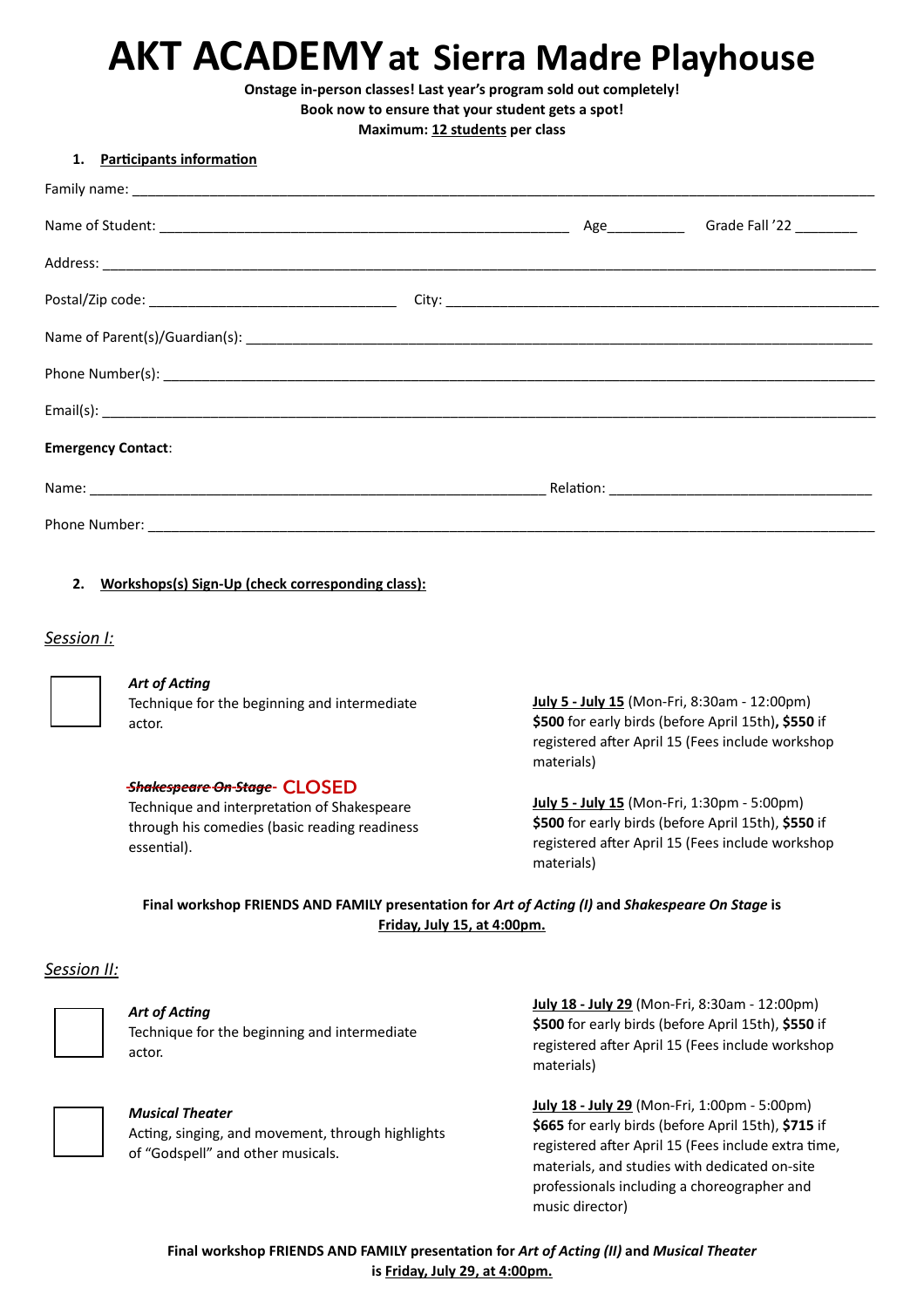**Onstage in-person classes! Last year's program sold out completely!**

**Book now to ensure that your student gets a spot!**

**Maximum: 12 students per class**

### **1. Participants information**

| <b>Emergency Contact:</b> |  |  |
|---------------------------|--|--|
|                           |  |  |
|                           |  |  |

## **2. Workshops(s) Sign-Up (check corresponding class):**

## *Session I:*



### *Art of Acting*

Technique for the beginning and intermediate actor.

## *Shakespeare On Stage* ------------------------------ **CLOSED**

Technique and interpretation of Shakespeare through his comedies (basic reading readiness essential).

 registered after April 15 (Fees include workshop **July 5 - July 15** (Mon-Fri, 8:30am - 12:00pm) **\$500** for early birds (before April 15th)**, \$550** if materials)

**July 5 - July 15** (Mon-Fri, 1:30pm - 5:00pm) **\$500** for early birds (before April 15th), **\$550** if registered after April 15 (Fees include workshop materials)

## **Final workshop FRIENDS AND FAMILY presentation for** *Art of Acting (I)* **and** *Shakespeare On Stage* **is Friday, July 15, at 4:00pm.**

### *Session II:*



### *Art of Acting*

Technique for the beginning and intermediate actor.



#### *Musical Theater*

Acting, singing, and movement, through highlights of "Godspell" and other musicals.

**July 18 - July 29** (Mon-Fri, 8:30am - 12:00pm) **\$500** for early birds (before April 15th), **\$550** if registered after April 15 (Fees include workshop materials)

**July 18 - July 29** (Mon-Fri, 1:00pm - 5:00pm) **\$665** for early birds (before April 15th), **\$715** if registered after April 15 (Fees include extra time, materials, and studies with dedicated on-site professionals including a choreographer and music director)

**Final workshop FRIENDS AND FAMILY presentation for** *Art of Acting (II)* **and** *Musical Theater* **is Friday, July 29, at 4:00pm.**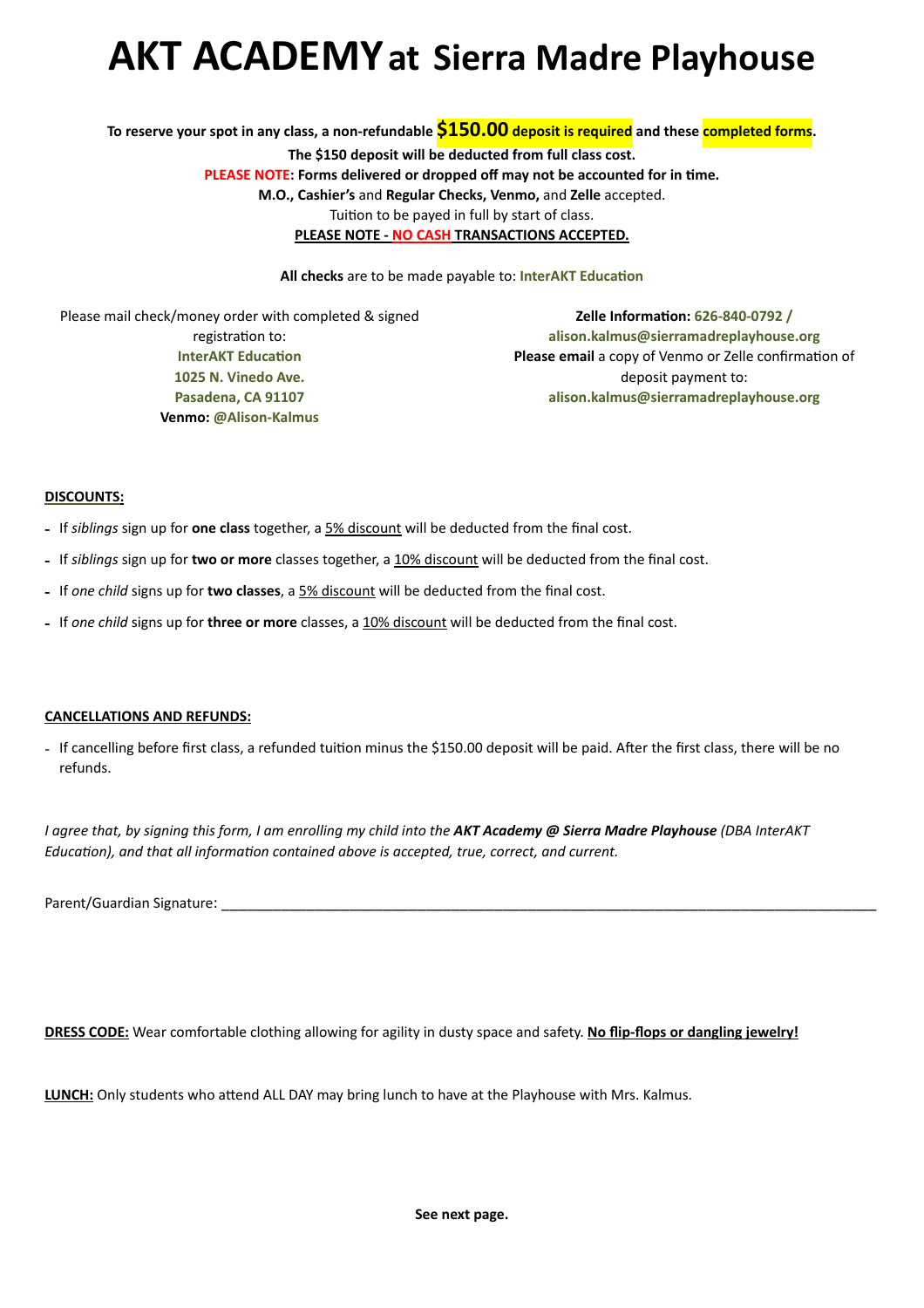**To reserve your spot in any class, a non-refundable \$150.00 deposit is required and these completed forms. The \$150 deposit will be deducted from full class cost. PLEASE NOTE: Forms delivered or dropped off may not be accounted for in time. M.O., Cashier's** and **Regular Checks, Venmo,** and **Zelle** accepted. Tuition to be payed in full by start of class. **PLEASE NOTE - NO CASH TRANSACTIONS ACCEPTED.**

**All checks** are to be made payable to: **InterAKT Education** 

Please mail check/money order with completed & signed registration to: **InterAKT Education 1025 N. Vinedo Ave. Pasadena, CA 91107 Venmo: @Alison-Kalmus**

**Zelle Information: 626-840-0792 / alison.kalmus@sierramadreplayhouse.org Please email** a copy of Venmo or Zelle confirmation of deposit payment to: **alison.kalmus@sierramadreplayhouse.org**

### **DISCOUNTS:**

- **-** If *siblings* sign up for **one class** together, a 5% discount will be deducted from the final cost.
- **-** If *siblings* sign up for **two or more** classes together, a 10% discount will be deducted from the final cost.
- **-** If *one child* signs up for **two classes**, a 5% discount will be deducted from the final cost.
- **-** If *one child* signs up for **three or more** classes, a 10% discount will be deducted from the final cost.

### **CANCELLATIONS AND REFUNDS:**

- If cancelling before first class, a refunded tuition minus the \$150.00 deposit will be paid. After the first class, there will be no refunds.

*I agree that, by signing this form, I am enrolling my child into the AKT Academy @ Sierra Madre Playhouse (DBA InterAKT Education), and that all information contained above is accepted, true, correct, and current.*

Parent/Guardian Signature:

**DRESS CODE:** Wear comfortable clothing allowing for agility in dusty space and safety. **No flip-flops or dangling jewelry!**

**LUNCH:** Only students who attend ALL DAY may bring lunch to have at the Playhouse with Mrs. Kalmus.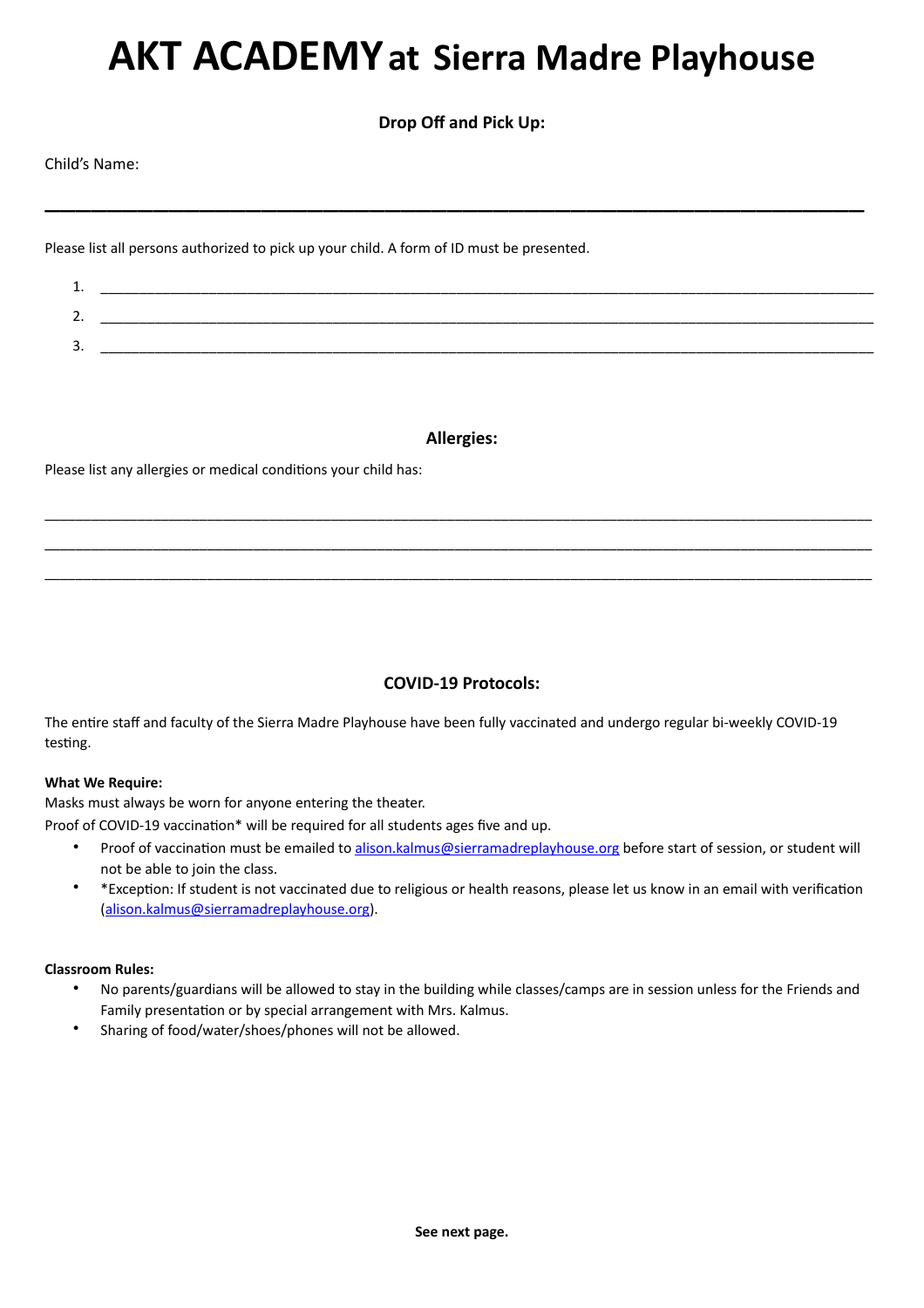**Drop Off and Pick Up:**

\_\_\_\_\_\_\_\_\_\_\_\_\_\_\_\_\_\_\_\_\_\_\_\_\_\_\_\_\_\_\_\_\_\_\_\_\_\_\_\_\_\_\_\_\_\_\_\_\_\_\_\_\_

Child's Name:

Please list all persons authorized to pick up your child. A form of ID must be presented.

| . .      |  |
|----------|--|
| <u>.</u> |  |
| ັ        |  |

## **Allergies:**

\_\_\_\_\_\_\_\_\_\_\_\_\_\_\_\_\_\_\_\_\_\_\_\_\_\_\_\_\_\_\_\_\_\_\_\_\_\_\_\_\_\_\_\_\_\_\_\_\_\_\_\_\_\_\_\_\_\_\_\_\_\_\_\_\_\_\_\_\_\_\_\_\_\_\_\_\_\_\_\_\_\_\_\_\_\_\_\_\_\_\_\_\_\_\_\_\_\_\_\_\_\_\_\_\_\_\_ \_\_\_\_\_\_\_\_\_\_\_\_\_\_\_\_\_\_\_\_\_\_\_\_\_\_\_\_\_\_\_\_\_\_\_\_\_\_\_\_\_\_\_\_\_\_\_\_\_\_\_\_\_\_\_\_\_\_\_\_\_\_\_\_\_\_\_\_\_\_\_\_\_\_\_\_\_\_\_\_\_\_\_\_\_\_\_\_\_\_\_\_\_\_\_\_\_\_\_\_\_\_\_\_\_\_\_ \_\_\_\_\_\_\_\_\_\_\_\_\_\_\_\_\_\_\_\_\_\_\_\_\_\_\_\_\_\_\_\_\_\_\_\_\_\_\_\_\_\_\_\_\_\_\_\_\_\_\_\_\_\_\_\_\_\_\_\_\_\_\_\_\_\_\_\_\_\_\_\_\_\_\_\_\_\_\_\_\_\_\_\_\_\_\_\_\_\_\_\_\_\_\_\_\_\_\_\_\_\_\_\_\_\_\_

Please list any allergies or medical conditions your child has:

## **COVID-19 Protocols:**

The entire staff and faculty of the Sierra Madre Playhouse have been fully vaccinated and undergo regular bi-weekly COVID-19 testing.

## **What We Require:**

Masks must always be worn for anyone entering the theater.

Proof of COVID-19 vaccination\* will be required for all students ages five and up.

- Proof of vaccination must be emailed to [alison.kalmus@sierramadreplayhouse.org](mailto:alison.kalmus@sierramadreplayhouse.org) before start of session, or student will not be able to join the class.
- \*Exception: If student is not vaccinated due to religious or health reasons, please let us know in an email with verification ([alison.kalmus@sierramadreplayhouse.org](mailto:alison.kalmus@sierramadreplayhouse.org)).

### **Classroom Rules:**

- No parents/guardians will be allowed to stay in the building while classes/camps are in session unless for the Friends and Family presentation or by special arrangement with Mrs. Kalmus.
- Sharing of food/water/shoes/phones will not be allowed.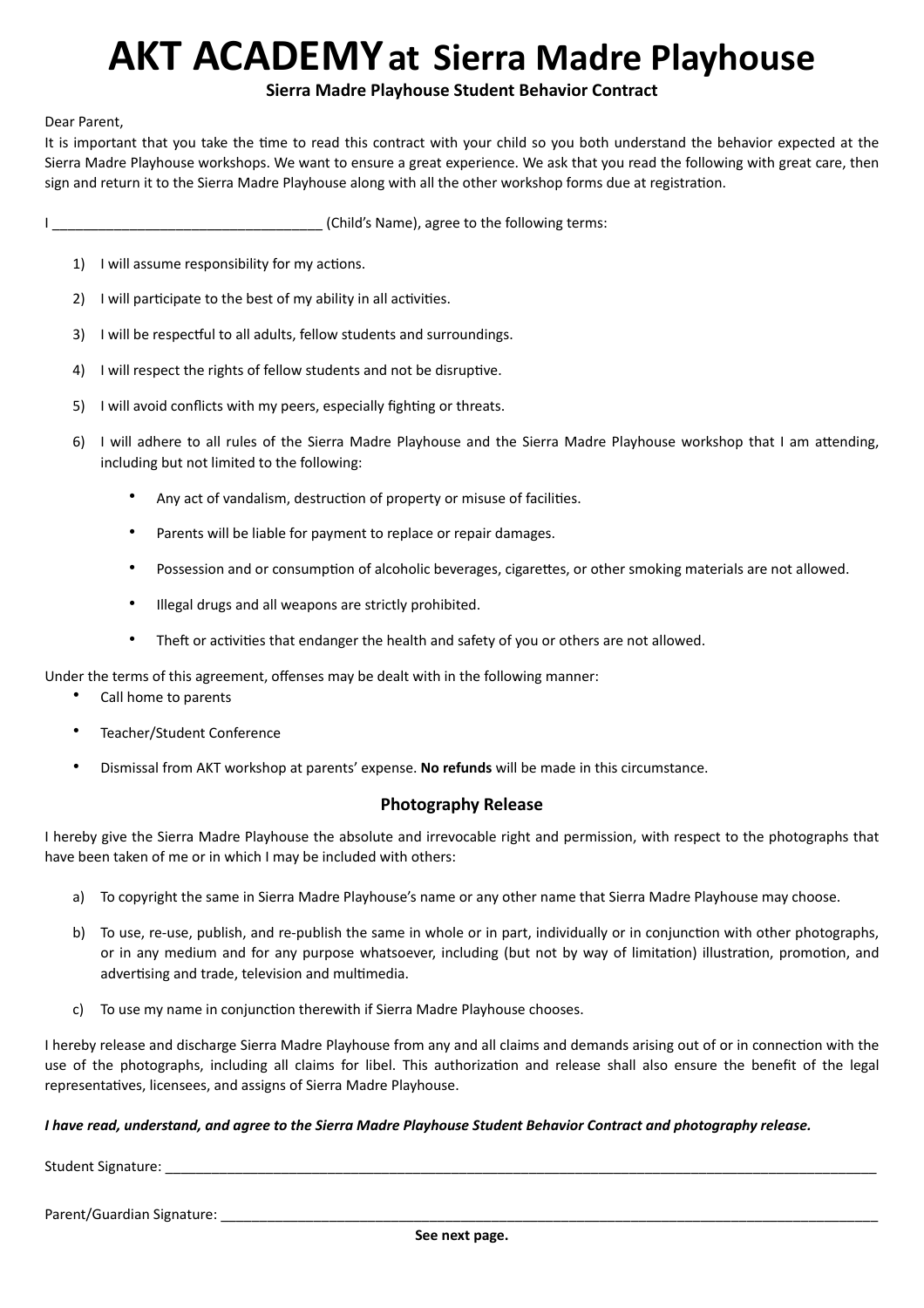## **Sierra Madre Playhouse Student Behavior Contract**

### Dear Parent,

It is important that you take the time to read this contract with your child so you both understand the behavior expected at the Sierra Madre Playhouse workshops. We want to ensure a great experience. We ask that you read the following with great care, then sign and return it to the Sierra Madre Playhouse along with all the other workshop forms due at registration.

I \_\_\_\_\_\_\_\_\_\_\_\_\_\_\_\_\_\_\_\_\_\_\_\_\_\_\_\_\_\_\_\_\_\_\_ (Child's Name), agree to the following terms:

- 1) I will assume responsibility for my actions.
- 2) I will participate to the best of my ability in all activities.
- 3) I will be respectful to all adults, fellow students and surroundings.
- 4) I will respect the rights of fellow students and not be disruptive.
- 5) I will avoid conflicts with my peers, especially fighting or threats.
- 6) I will adhere to all rules of the Sierra Madre Playhouse and the Sierra Madre Playhouse workshop that I am attending, including but not limited to the following:
	- Any act of vandalism, destruction of property or misuse of facilities.
	- Parents will be liable for payment to replace or repair damages.
	- Possession and or consumption of alcoholic beverages, cigarettes, or other smoking materials are not allowed.
	- Illegal drugs and all weapons are strictly prohibited.
	- Theft or activities that endanger the health and safety of you or others are not allowed.

Under the terms of this agreement, offenses may be dealt with in the following manner:

- Call home to parents
- Teacher/Student Conference
- Dismissal from AKT workshop at parents' expense. **No refunds** will be made in this circumstance.

## **Photography Release**

I hereby give the Sierra Madre Playhouse the absolute and irrevocable right and permission, with respect to the photographs that have been taken of me or in which I may be included with others:

- a) To copyright the same in Sierra Madre Playhouse's name or any other name that Sierra Madre Playhouse may choose.
- b) To use, re-use, publish, and re-publish the same in whole or in part, individually or in conjunction with other photographs, or in any medium and for any purpose whatsoever, including (but not by way of limitation) illustration, promotion, and advertising and trade, television and multimedia.
- c) To use my name in conjunction therewith if Sierra Madre Playhouse chooses.

I hereby release and discharge Sierra Madre Playhouse from any and all claims and demands arising out of or in connection with the use of the photographs, including all claims for libel. This authorization and release shall also ensure the benefit of the legal representatives, licensees, and assigns of Sierra Madre Playhouse.

### *I have read, understand, and agree to the Sierra Madre Playhouse Student Behavior Contract and photography release.*

Student Signature:

Parent/Guardian Signature: \_\_\_\_\_\_\_\_\_\_\_\_\_\_\_\_\_\_\_\_\_\_\_\_\_\_\_\_\_\_\_\_\_\_\_\_\_\_\_\_\_\_\_\_\_\_\_\_\_\_\_\_\_\_\_\_\_\_\_\_\_\_\_\_\_\_\_\_\_\_\_\_\_\_\_\_\_\_\_\_\_\_\_\_\_